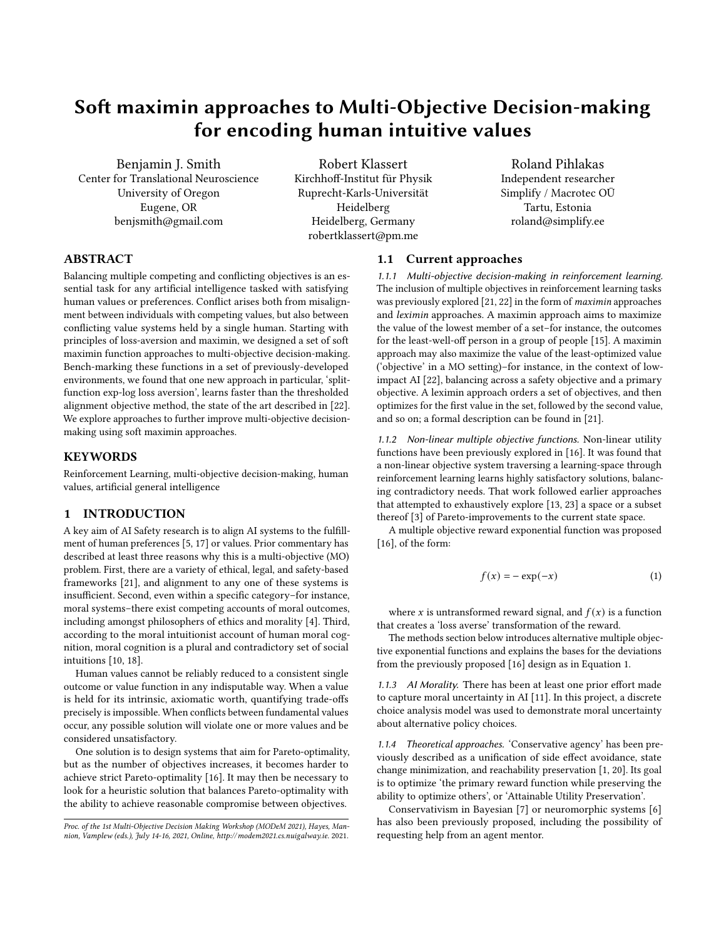# Soft maximin approaches to Multi-Objective Decision-making for encoding human intuitive values

Benjamin J. Smith Center for Translational Neuroscience University of Oregon Eugene, OR benjsmith@gmail.com

Robert Klassert Kirchhoff-Institut für Physik Ruprecht-Karls-Universität Heidelberg Heidelberg, Germany robertklassert@pm.me

Roland Pihlakas Independent researcher Simplify / Macrotec OÜ Tartu, Estonia roland@simplify.ee

# ABSTRACT

Balancing multiple competing and conflicting objectives is an essential task for any artificial intelligence tasked with satisfying human values or preferences. Conflict arises both from misalignment between individuals with competing values, but also between conflicting value systems held by a single human. Starting with principles of loss-aversion and maximin, we designed a set of soft maximin function approaches to multi-objective decision-making. Bench-marking these functions in a set of previously-developed environments, we found that one new approach in particular, 'splitfunction exp-log loss aversion', learns faster than the thresholded alignment objective method, the state of the art described in [\[22\]](#page-8-0). We explore approaches to further improve multi-objective decisionmaking using soft maximin approaches.

# **KEYWORDS**

Reinforcement Learning, multi-objective decision-making, human values, artificial general intelligence

## 1 INTRODUCTION

A key aim of AI Safety research is to align AI systems to the fulfillment of human preferences [\[5,](#page-7-0) [17\]](#page-7-1) or values. Prior commentary has described at least three reasons why this is a multi-objective (MO) problem. First, there are a variety of ethical, legal, and safety-based frameworks [\[21\]](#page-8-1), and alignment to any one of these systems is insufficient. Second, even within a specific category–for instance, moral systems–there exist competing accounts of moral outcomes, including amongst philosophers of ethics and morality [\[4\]](#page-7-2). Third, according to the moral intuitionist account of human moral cognition, moral cognition is a plural and contradictory set of social intuitions [\[10,](#page-7-3) [18\]](#page-7-4).

Human values cannot be reliably reduced to a consistent single outcome or value function in any indisputable way. When a value is held for its intrinsic, axiomatic worth, quantifying trade-offs precisely is impossible. When conflicts between fundamental values occur, any possible solution will violate one or more values and be considered unsatisfactory.

One solution is to design systems that aim for Pareto-optimality, but as the number of objectives increases, it becomes harder to achieve strict Pareto-optimality [\[16\]](#page-7-5). It may then be necessary to look for a heuristic solution that balances Pareto-optimality with the ability to achieve reasonable compromise between objectives.

## 1.1 Current approaches

1.1.1 Multi-objective decision-making in reinforcement learning. The inclusion of multiple objectives in reinforcement learning tasks was previously explored [\[21,](#page-8-1) [22\]](#page-8-0) in the form of maximin approaches and leximin approaches. A maximin approach aims to maximize the value of the lowest member of a set–for instance, the outcomes for the least-well-off person in a group of people [\[15\]](#page-7-6). A maximin approach may also maximize the value of the least-optimized value ('objective' in a MO setting)–for instance, in the context of lowimpact AI [\[22\]](#page-8-0), balancing across a safety objective and a primary objective. A leximin approach orders a set of objectives, and then optimizes for the first value in the set, followed by the second value, and so on; a formal description can be found in [\[21\]](#page-8-1).

1.1.2 Non-linear multiple objective functions. Non-linear utility functions have been previously explored in [\[16\]](#page-7-5). It was found that a non-linear objective system traversing a learning-space through reinforcement learning learns highly satisfactory solutions, balancing contradictory needs. That work followed earlier approaches that attempted to exhaustively explore [\[13,](#page-7-7) [23\]](#page-8-2) a space or a subset thereof [\[3\]](#page-7-8) of Pareto-improvements to the current state space.

A multiple objective reward exponential function was proposed [\[16\]](#page-7-5), of the form:

<span id="page-0-0"></span>
$$
f(x) = -\exp(-x) \tag{1}
$$

where *x* is untransformed reward signal, and  $f(x)$  is a function that creates a 'loss averse' transformation of the reward.

The methods section below introduces alternative multiple objective exponential functions and explains the bases for the deviations from the previously proposed [\[16\]](#page-7-5) design as in Equation [1.](#page-0-0)

1.1.3 AI Morality. There has been at least one prior effort made to capture moral uncertainty in AI [\[11\]](#page-7-9). In this project, a discrete choice analysis model was used to demonstrate moral uncertainty about alternative policy choices.

1.1.4 Theoretical approaches. 'Conservative agency' has been previously described as a unification of side effect avoidance, state change minimization, and reachability preservation [\[1,](#page-7-10) [20\]](#page-7-11). Its goal is to optimize 'the primary reward function while preserving the ability to optimize others', or 'Attainable Utility Preservation'.

Conservativism in Bayesian [\[7\]](#page-7-12) or neuromorphic systems [\[6\]](#page-7-13) has also been previously proposed, including the possibility of requesting help from an agent mentor.

Proc. of the 1st Multi-Objective Decision Making Workshop (MODeM 2021), Hayes, Mannion, Vamplew (eds.), July 14-16, 2021, Online,<http://modem2021.cs.nuigalway.ie>. 2021.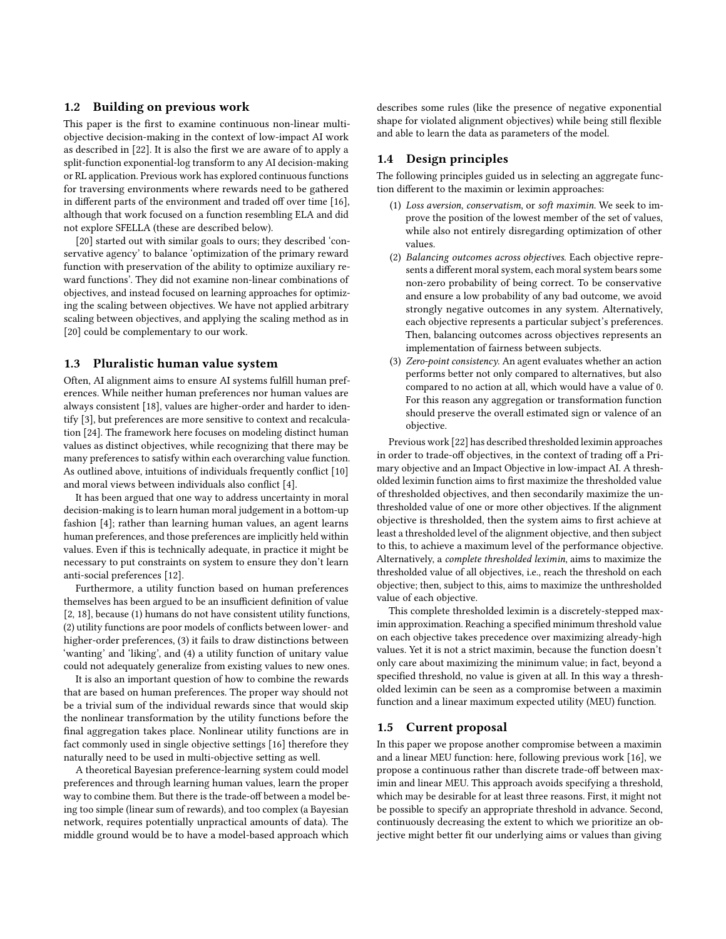## 1.2 Building on previous work

This paper is the first to examine continuous non-linear multiobjective decision-making in the context of low-impact AI work as described in [\[22\]](#page-8-0). It is also the first we are aware of to apply a split-function exponential-log transform to any AI decision-making or RL application. Previous work has explored continuous functions for traversing environments where rewards need to be gathered in different parts of the environment and traded off over time [\[16\]](#page-7-5), although that work focused on a function resembling ELA and did not explore SFELLA (these are described below).

[\[20\]](#page-7-11) started out with similar goals to ours; they described 'conservative agency' to balance 'optimization of the primary reward function with preservation of the ability to optimize auxiliary reward functions'. They did not examine non-linear combinations of objectives, and instead focused on learning approaches for optimizing the scaling between objectives. We have not applied arbitrary scaling between objectives, and applying the scaling method as in [\[20\]](#page-7-11) could be complementary to our work.

#### 1.3 Pluralistic human value system

Often, AI alignment aims to ensure AI systems fulfill human preferences. While neither human preferences nor human values are always consistent [\[18\]](#page-7-4), values are higher-order and harder to identify [\[3\]](#page-7-8), but preferences are more sensitive to context and recalculation [\[24\]](#page-8-3). The framework here focuses on modeling distinct human values as distinct objectives, while recognizing that there may be many preferences to satisfy within each overarching value function. As outlined above, intuitions of individuals frequently conflict [\[10\]](#page-7-3) and moral views between individuals also conflict [\[4\]](#page-7-2).

It has been argued that one way to address uncertainty in moral decision-making is to learn human moral judgement in a bottom-up fashion [\[4\]](#page-7-2); rather than learning human values, an agent learns human preferences, and those preferences are implicitly held within values. Even if this is technically adequate, in practice it might be necessary to put constraints on system to ensure they don't learn anti-social preferences [\[12\]](#page-7-14).

Furthermore, a utility function based on human preferences themselves has been argued to be an insufficient definition of value [\[2,](#page-7-15) [18\]](#page-7-4), because (1) humans do not have consistent utility functions, (2) utility functions are poor models of conflicts between lower- and higher-order preferences, (3) it fails to draw distinctions between 'wanting' and 'liking', and (4) a utility function of unitary value could not adequately generalize from existing values to new ones.

It is also an important question of how to combine the rewards that are based on human preferences. The proper way should not be a trivial sum of the individual rewards since that would skip the nonlinear transformation by the utility functions before the final aggregation takes place. Nonlinear utility functions are in fact commonly used in single objective settings [\[16\]](#page-7-5) therefore they naturally need to be used in multi-objective setting as well.

A theoretical Bayesian preference-learning system could model preferences and through learning human values, learn the proper way to combine them. But there is the trade-off between a model being too simple (linear sum of rewards), and too complex (a Bayesian network, requires potentially unpractical amounts of data). The middle ground would be to have a model-based approach which

describes some rules (like the presence of negative exponential shape for violated alignment objectives) while being still flexible and able to learn the data as parameters of the model.

# 1.4 Design principles

The following principles guided us in selecting an aggregate function different to the maximin or leximin approaches:

- (1) Loss aversion, conservatism, or soft maximin. We seek to improve the position of the lowest member of the set of values, while also not entirely disregarding optimization of other values.
- (2) Balancing outcomes across objectives. Each objective represents a different moral system, each moral system bears some non-zero probability of being correct. To be conservative and ensure a low probability of any bad outcome, we avoid strongly negative outcomes in any system. Alternatively, each objective represents a particular subject's preferences. Then, balancing outcomes across objectives represents an implementation of fairness between subjects.
- (3) Zero-point consistency. An agent evaluates whether an action performs better not only compared to alternatives, but also compared to no action at all, which would have a value of 0. For this reason any aggregation or transformation function should preserve the overall estimated sign or valence of an objective.

Previous work [\[22\]](#page-8-0) has described thresholded leximin approaches in order to trade-off objectives, in the context of trading off a Primary objective and an Impact Objective in low-impact AI. A thresholded leximin function aims to first maximize the thresholded value of thresholded objectives, and then secondarily maximize the unthresholded value of one or more other objectives. If the alignment objective is thresholded, then the system aims to first achieve at least a thresholded level of the alignment objective, and then subject to this, to achieve a maximum level of the performance objective. Alternatively, a complete thresholded leximin, aims to maximize the thresholded value of all objectives, i.e., reach the threshold on each objective; then, subject to this, aims to maximize the unthresholded value of each objective.

This complete thresholded leximin is a discretely-stepped maximin approximation. Reaching a specified minimum threshold value on each objective takes precedence over maximizing already-high values. Yet it is not a strict maximin, because the function doesn't only care about maximizing the minimum value; in fact, beyond a specified threshold, no value is given at all. In this way a thresholded leximin can be seen as a compromise between a maximin function and a linear maximum expected utility (MEU) function.

#### 1.5 Current proposal

In this paper we propose another compromise between a maximin and a linear MEU function: here, following previous work [\[16\]](#page-7-5), we propose a continuous rather than discrete trade-off between maximin and linear MEU. This approach avoids specifying a threshold, which may be desirable for at least three reasons. First, it might not be possible to specify an appropriate threshold in advance. Second, continuously decreasing the extent to which we prioritize an objective might better fit our underlying aims or values than giving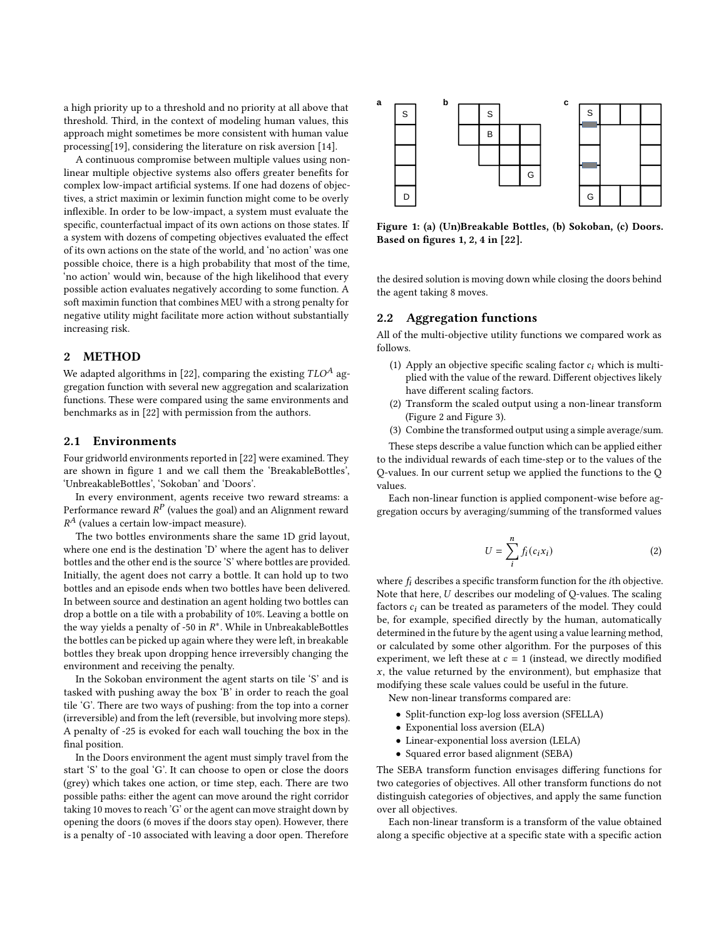a high priority up to a threshold and no priority at all above that threshold. Third, in the context of modeling human values, this approach might sometimes be more consistent with human value processing[\[19\]](#page-7-16), considering the literature on risk aversion [\[14\]](#page-7-17).

A continuous compromise between multiple values using nonlinear multiple objective systems also offers greater benefits for complex low-impact artificial systems. If one had dozens of objectives, a strict maximin or leximin function might come to be overly inflexible. In order to be low-impact, a system must evaluate the specific, counterfactual impact of its own actions on those states. If a system with dozens of competing objectives evaluated the effect of its own actions on the state of the world, and 'no action' was one possible choice, there is a high probability that most of the time, 'no action' would win, because of the high likelihood that every possible action evaluates negatively according to some function. A soft maximin function that combines MEU with a strong penalty for negative utility might facilitate more action without substantially increasing risk.

#### 2 METHOD

We adapted algorithms in [\[22\]](#page-8-0), comparing the existing  $TLO^A$  aggregation function with several new aggregation and scalarization functions. These were compared using the same environments and benchmarks as in [\[22\]](#page-8-0) with permission from the authors.

## 2.1 Environments

Four gridworld environments reported in [\[22\]](#page-8-0) were examined. They are shown in figure [1](#page-2-0) and we call them the 'BreakableBottles', 'UnbreakableBottles', 'Sokoban' and 'Doors'.

In every environment, agents receive two reward streams: a Performance reward  $R^P$  (values the goal) and an Alignment reward  $R^{A}$  (values a certain low-impact measure).

The two bottles environments share the same 1D grid layout, where one end is the destination 'D' where the agent has to deliver bottles and the other end is the source 'S' where bottles are provided. Initially, the agent does not carry a bottle. It can hold up to two bottles and an episode ends when two bottles have been delivered. In between source and destination an agent holding two bottles can drop a bottle on a tile with a probability of 10%. Leaving a bottle on the way yields a penalty of -50 in  $R^*$ . While in UnbreakableBottles the bottles can be picked up again where they were left, in breakable bottles they break upon dropping hence irreversibly changing the environment and receiving the penalty.

In the Sokoban environment the agent starts on tile 'S' and is tasked with pushing away the box 'B' in order to reach the goal tile 'G'. There are two ways of pushing: from the top into a corner (irreversible) and from the left (reversible, but involving more steps). A penalty of -25 is evoked for each wall touching the box in the final position.

In the Doors environment the agent must simply travel from the start 'S' to the goal 'G'. It can choose to open or close the doors (grey) which takes one action, or time step, each. There are two possible paths: either the agent can move around the right corridor taking 10 moves to reach 'G' or the agent can move straight down by opening the doors (6 moves if the doors stay open). However, there is a penalty of -10 associated with leaving a door open. Therefore

<span id="page-2-0"></span>

Figure 1: (a) (Un)Breakable Bottles, (b) Sokoban, (c) Doors. Based on figures 1, 2, 4 in [\[22\]](#page-8-0).

the desired solution is moving down while closing the doors behind the agent taking 8 moves.

## 2.2 Aggregation functions

All of the multi-objective utility functions we compared work as follows.

- (1) Apply an objective specific scaling factor  $c_i$  which is multiplied with the value of the reward. Different objectives likely have different scaling factors.
- (2) Transform the scaled output using a non-linear transform (Figure [2](#page-4-0) and Figure [3\)](#page-4-1).
- (3) Combine the transformed output using a simple average/sum.

These steps describe a value function which can be applied either to the individual rewards of each time-step or to the values of the Q-values. In our current setup we applied the functions to the Q values.

Each non-linear function is applied component-wise before aggregation occurs by averaging/summing of the transformed values

<span id="page-2-1"></span>
$$
U = \sum_{i}^{n} f_i(c_i x_i)
$$
 (2)

where  $f_i$  describes a specific transform function for the *i*th objective. Note that here,  $U$  describes our modeling of Q-values. The scaling factors  $c_i$  can be treated as parameters of the model. They could be, for example, specified directly by the human, automatically determined in the future by the agent using a value learning method, or calculated by some other algorithm. For the purposes of this experiment, we left these at  $c = 1$  (instead, we directly modified  $x$ , the value returned by the environment), but emphasize that modifying these scale values could be useful in the future.

New non-linear transforms compared are:

- Split-function exp-log loss aversion (SFELLA)
- Exponential loss aversion (ELA)
- Linear-exponential loss aversion (LELA)
- Squared error based alignment (SEBA)

The SEBA transform function envisages differing functions for two categories of objectives. All other transform functions do not distinguish categories of objectives, and apply the same function over all objectives.

Each non-linear transform is a transform of the value obtained along a specific objective at a specific state with a specific action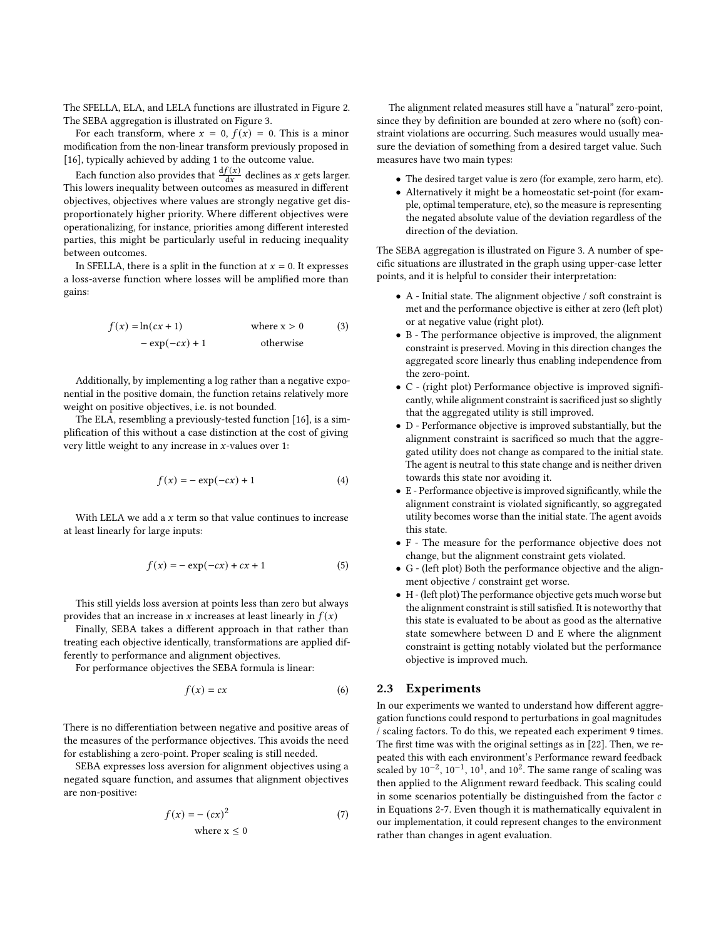The SFELLA, ELA, and LELA functions are illustrated in Figure [2.](#page-4-0) The SEBA aggregation is illustrated on Figure [3.](#page-4-1)

For each transform, where  $x = 0$ ,  $f(x) = 0$ . This is a minor modification from the non-linear transform previously proposed in [\[16\]](#page-7-5), typically achieved by adding 1 to the outcome value.

Each function also provides that  $\frac{df(x)}{dx}$  declines as x gets larger. This lowers inequality between outcomes as measured in different objectives, objectives where values are strongly negative get disproportionately higher priority. Where different objectives were operationalizing, for instance, priorities among different interested parties, this might be particularly useful in reducing inequality between outcomes.

In SFELLA, there is a split in the function at  $x = 0$ . It expresses a loss-averse function where losses will be amplified more than gains:

$$
f(x) = \ln(cx + 1)
$$
 where x > 0 (3)  
- exp(-cx) + 1 otherwise

Additionally, by implementing a log rather than a negative exponential in the positive domain, the function retains relatively more weight on positive objectives, i.e. is not bounded.

The ELA, resembling a previously-tested function [\[16\]](#page-7-5), is a simplification of this without a case distinction at the cost of giving very little weight to any increase in  $x$ -values over 1:

$$
f(x) = -\exp(-cx) + 1\tag{4}
$$

With LELA we add a  $x$  term so that value continues to increase at least linearly for large inputs:

$$
f(x) = -\exp(-cx) + cx + 1
$$
 (5)

This still yields loss aversion at points less than zero but always provides that an increase in x increases at least linearly in  $f(x)$ 

Finally, SEBA takes a different approach in that rather than treating each objective identically, transformations are applied differently to performance and alignment objectives.

For performance objectives the SEBA formula is linear:

$$
f(x) = cx \tag{6}
$$

There is no differentiation between negative and positive areas of the measures of the performance objectives. This avoids the need for establishing a zero-point. Proper scaling is still needed.

SEBA expresses loss aversion for alignment objectives using a negated square function, and assumes that alignment objectives are non-positive:

$$
f(x) = -(cx)^2
$$
  
where  $x \le 0$  (7)

The alignment related measures still have a "natural" zero-point, since they by definition are bounded at zero where no (soft) constraint violations are occurring. Such measures would usually measure the deviation of something from a desired target value. Such measures have two main types:

- The desired target value is zero (for example, zero harm, etc).
- Alternatively it might be a homeostatic set-point (for example, optimal temperature, etc), so the measure is representing the negated absolute value of the deviation regardless of the direction of the deviation.

The SEBA aggregation is illustrated on Figure [3.](#page-4-1) A number of specific situations are illustrated in the graph using upper-case letter points, and it is helpful to consider their interpretation:

- A Initial state. The alignment objective / soft constraint is met and the performance objective is either at zero (left plot) or at negative value (right plot).
- B The performance objective is improved, the alignment constraint is preserved. Moving in this direction changes the aggregated score linearly thus enabling independence from the zero-point.
- C (right plot) Performance objective is improved significantly, while alignment constraint is sacrificed just so slightly that the aggregated utility is still improved.
- D Performance objective is improved substantially, but the alignment constraint is sacrificed so much that the aggregated utility does not change as compared to the initial state. The agent is neutral to this state change and is neither driven towards this state nor avoiding it.
- E Performance objective is improved significantly, while the alignment constraint is violated significantly, so aggregated utility becomes worse than the initial state. The agent avoids this state.
- F The measure for the performance objective does not change, but the alignment constraint gets violated.
- G (left plot) Both the performance objective and the alignment objective / constraint get worse.
- H (left plot) The performance objective gets much worse but the alignment constraint is still satisfied. It is noteworthy that this state is evaluated to be about as good as the alternative state somewhere between D and E where the alignment constraint is getting notably violated but the performance objective is improved much.

#### 2.3 Experiments

<span id="page-3-0"></span>In our experiments we wanted to understand how different aggregation functions could respond to perturbations in goal magnitudes / scaling factors. To do this, we repeated each experiment 9 times. The first time was with the original settings as in [\[22\]](#page-8-0). Then, we repeated this with each environment's Performance reward feedback scaled by  $10^{-2}$ ,  $10^{-1}$ ,  $10^{1}$ , and  $10^{2}$ . The same range of scaling was then applied to the Alignment reward feedback. This scaling could in some scenarios potentially be distinguished from the factor  $c$ in Equations [2-](#page-2-1)[7.](#page-3-0) Even though it is mathematically equivalent in our implementation, it could represent changes to the environment rather than changes in agent evaluation.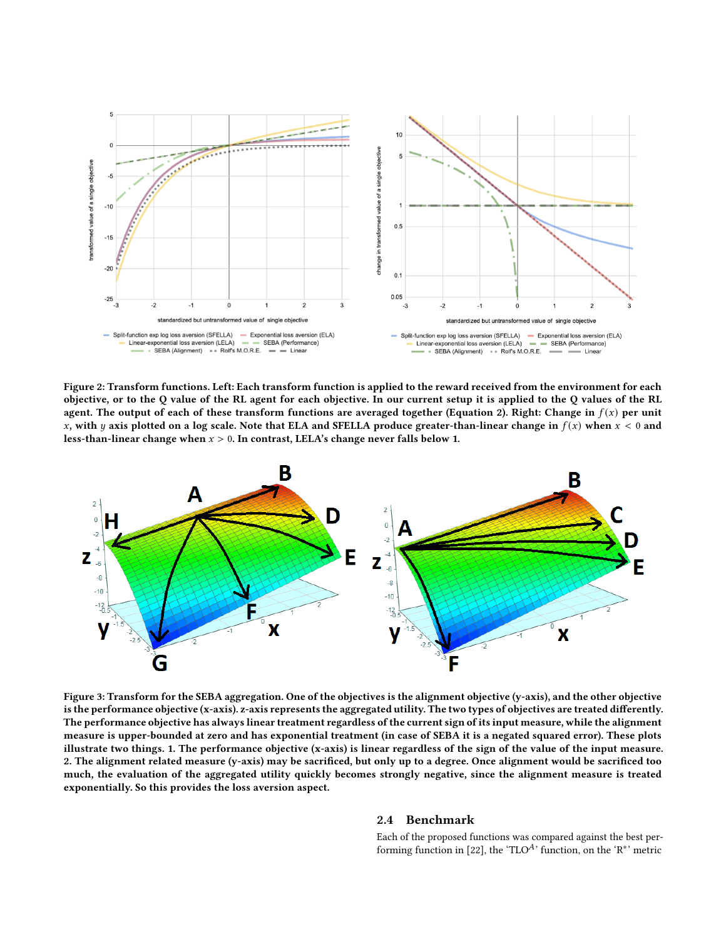<span id="page-4-0"></span>

Figure 2: Transform functions. Left: Each transform function is applied to the reward received from the environment for each objective, or to the Q value of the RL agent for each objective. In our current setup it is applied to the Q values of the RL agent. The output of each of these transform functions are averaged together (Equation [2\)](#page-2-1). Right: Change in  $f(x)$  per unit x, with y axis plotted on a log scale. Note that ELA and SFELLA produce greater-than-linear change in  $f(x)$  when  $x < 0$  and less-than-linear change when  $x > 0$ . In contrast, LELA's change never falls below 1.

<span id="page-4-1"></span>

Figure 3: Transform for the SEBA aggregation. One of the objectives is the alignment objective (y-axis), and the other objective is the performance objective (x-axis). z-axis represents the aggregated utility. The two types of objectives are treated differently. The performance objective has always linear treatment regardless of the current sign of its input measure, while the alignment measure is upper-bounded at zero and has exponential treatment (in case of SEBA it is a negated squared error). These plots illustrate two things. 1. The performance objective (x-axis) is linear regardless of the sign of the value of the input measure. 2. The alignment related measure (y-axis) may be sacrificed, but only up to a degree. Once alignment would be sacrificed too much, the evaluation of the aggregated utility quickly becomes strongly negative, since the alignment measure is treated exponentially. So this provides the loss aversion aspect.

#### 2.4 Benchmark

Each of the proposed functions was compared against the best per-forming function in [\[22\]](#page-8-0), the 'TLO<sup>A</sup>' function, on the 'R<sup>\*</sup>' metric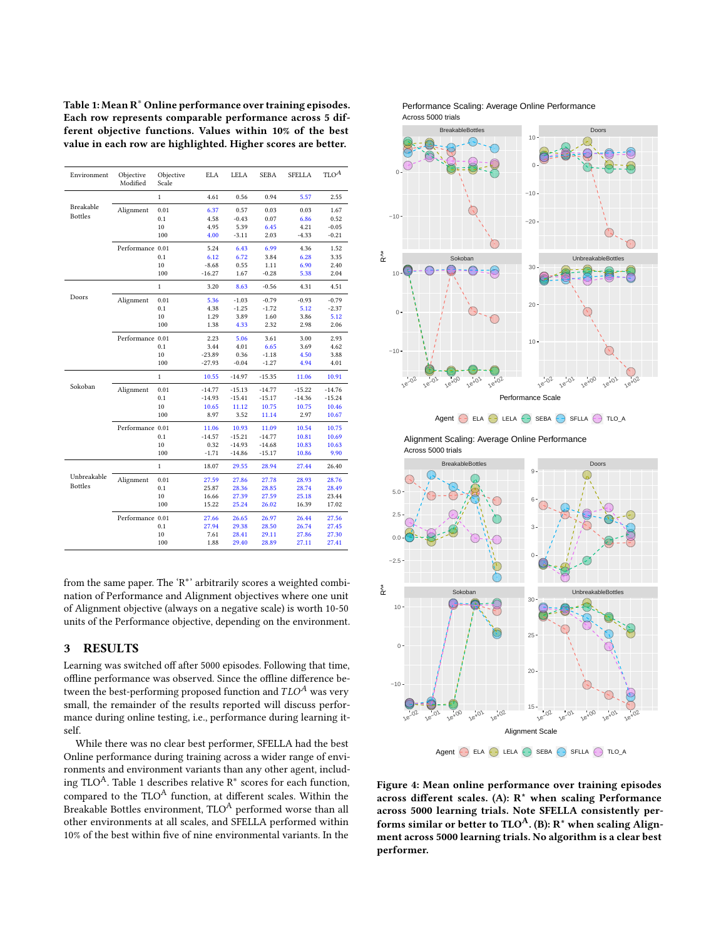<span id="page-5-0"></span>Table 1: Mean R<sup>\*</sup> Online performance over training episodes. Each row represents comparable performance across 5 different objective functions. Values within 10% of the best value in each row are highlighted. Higher scores are better.

| Environment                   | Objective<br>Modified | Objective<br>Scale | <b>ELA</b> | LELA     | <b>SEBA</b> | <b>SFELLA</b> | TLO <sup>A</sup> |
|-------------------------------|-----------------------|--------------------|------------|----------|-------------|---------------|------------------|
| Breakable                     |                       | $\mathbf{1}$       | 4.61       | 0.56     | 0.94        | 5.57          | 2.55             |
|                               | Alignment             | 0.01               | 6.37       | 0.57     | 0.03        | 0.03          | 1.67             |
| <b>Bottles</b>                |                       | 0.1                | 4.58       | $-0.43$  | 0.07        | 6.86          | 0.52             |
|                               |                       | 10                 | 4.95       | 5.39     | 6.45        | 4.21          | $-0.05$          |
|                               |                       | 100                | 4.00       | $-3.11$  | 2.03        | $-4.33$       | $-0.21$          |
|                               | Performance 0.01      |                    | 5.24       | 6.43     | 6.99        | 4.36          | 1.52             |
|                               |                       | 0.1                | 6.12       | 6.72     | 3.84        | 6.28          | 3.35             |
|                               |                       | 10                 | $-8.68$    | 0.55     | 1.11        | 6.90          | 2.40             |
|                               |                       | 100                | $-16.27$   | 1.67     | $-0.28$     | 5.38          | 2.04             |
| Doors                         |                       | $\mathbf{1}$       | 3.20       | 8.63     | $-0.56$     | 4.31          | 4.51             |
|                               | Alignment             | 0.01               | 5.36       | $-1.03$  | $-0.79$     | $-0.93$       | $-0.79$          |
|                               |                       | 0.1                | 4.38       | $-1.25$  | $-1.72$     | 5.12          | $-2.37$          |
|                               |                       | $10\,$             | 1.29       | 3.89     | 1.60        | 3.86          | 5.12             |
|                               |                       | 100                | 1.38       | 4.33     | 2.32        | 2.98          | 2.06             |
|                               | Performance 0.01      |                    | 2.23       | 5.06     | 3.61        | 3.00          | 2.93             |
|                               |                       | 0.1                | 3.44       | 4.01     | 6.65        | 3.69          | 4.62             |
|                               |                       | 10                 | $-23.89$   | 0.36     | $-1.18$     | 4.50          | 3.88             |
|                               |                       | 100                | $-27.93$   | $-0.04$  | $-1.27$     | 4.94          | 4.01             |
| Sokoban                       |                       | $\mathbf{1}$       | 10.55      | $-14.97$ | $-15.35$    | 11.06         | 10.91            |
|                               | Alignment             | 0.01               | $-14.77$   | $-15.13$ | $-14.77$    | $-15.22$      | $-14.76$         |
|                               |                       | 0.1                | $-14.93$   | $-15.41$ | $-15.17$    | $-14.36$      | $-15.24$         |
|                               |                       | 10                 | 10.65      | 11.12    | 10.75       | 10.75         | 10.46            |
|                               |                       | 100                | 8.97       | 3.52     | 11.14       | 2.97          | 10.67            |
|                               | Performance 0.01      |                    | 11.06      | 10.93    | 11.09       | 10.54         | 10.75            |
|                               |                       | 0.1                | $-14.57$   | $-15.21$ | $-14.77$    | 10.81         | 10.69            |
|                               |                       | 10                 | 0.32       | $-14.93$ | $-14.68$    | 10.83         | 10.63            |
|                               |                       | 100                | $-1.71$    | $-14.86$ | $-15.17$    | 10.86         | 9.90             |
| Unbreakable<br><b>Bottles</b> |                       | $\mathbf{1}$       | 18.07      | 29.55    | 28.94       | 27.44         | 26.40            |
|                               | Alignment             | 0.01               | 27.59      | 27.86    | 27.78       | 28.93         | 28.76            |
|                               |                       | 0.1                | 25.87      | 28.36    | 28.85       | 28.74         | 28.49            |
|                               |                       | 10                 | 16.66      | 27.39    | 27.59       | 25.18         | 23.44            |
|                               |                       | 100                | 15.22      | 25.24    | 26.02       | 16.39         | 17.02            |
|                               | Performance 0.01      |                    | 27.66      | 26.65    | 26.97       | 26.44         | 27.56            |
|                               |                       | 0.1                | 27.94      | 29.38    | 28.50       | 26.74         | 27.45            |
|                               |                       | 10                 | 7.61       | 28.41    | 29.11       | 27.86         | 27.30            |
|                               |                       | 100                | 1.88       | 29.40    | 28.89       | 27.11         | 27.41            |

from the same paper. The 'R<sup>\*</sup>' arbitrarily scores a weighted combination of Performance and Alignment objectives where one unit of Alignment objective (always on a negative scale) is worth 10-50 units of the Performance objective, depending on the environment.

## 3 RESULTS

Learning was switched off after 5000 episodes. Following that time, offline performance was observed. Since the offline difference between the best-performing proposed function and  $TLO^A$  was very small, the remainder of the results reported will discuss performance during online testing, i.e., performance during learning itself.

While there was no clear best performer, SFELLA had the best Online performance during training across a wider range of environments and environment variants than any other agent, includ-ing TLO<sup>A</sup>. Table [1](#page-5-0) describes relative R<sup>\*</sup> scores for each function, compared to the TLO<sup>A</sup> function, at different scales. Within the Breakable Bottles environment, TLO<sup>A</sup> performed worse than all other environments at all scales, and SFELLA performed within 10% of the best within five of nine environmental variants. In the

<span id="page-5-1"></span>



Across 5000 trials Alignment Scaling: Average Online Performance



Figure 4: Mean online performance over training episodes across different scales. (A):  $R^*$  when scaling Performance across 5000 learning trials. Note SFELLA consistently performs similar or better to  $TLO^A$ . (B):  $R^*$  when scaling Alignment across 5000 learning trials. No algorithm is a clear best performer.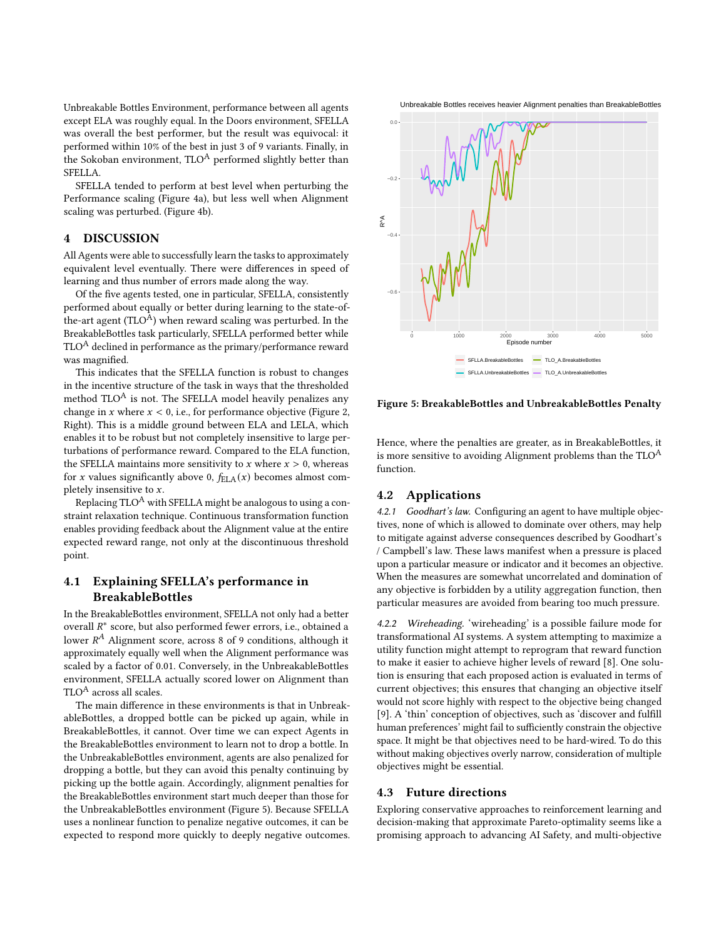Unbreakable Bottles Environment, performance between all agents except ELA was roughly equal. In the Doors environment, SFELLA was overall the best performer, but the result was equivocal: it performed within 10% of the best in just 3 of 9 variants. Finally, in the Sokoban environment,  $TLO^A$  performed slightly better than SFELLA.

SFELLA tended to perform at best level when perturbing the Performance scaling (Figure [4a](#page-5-1)), but less well when Alignment scaling was perturbed. (Figure [4b](#page-5-1)).

# 4 DISCUSSION

All Agents were able to successfully learn the tasks to approximately equivalent level eventually. There were differences in speed of learning and thus number of errors made along the way.

Of the five agents tested, one in particular, SFELLA, consistently performed about equally or better during learning to the state-ofthe-art agent ( $TLO<sup>A</sup>$ ) when reward scaling was perturbed. In the BreakableBottles task particularly, SFELLA performed better while  $TLO<sup>A</sup>$  declined in performance as the primary/performance reward was magnified.

This indicates that the SFELLA function is robust to changes in the incentive structure of the task in ways that the thresholded method  $TLO^A$  is not. The SFELLA model heavily penalizes any change in  $x$  where  $x < 0$ , i.e., for performance objective (Figure [2,](#page-4-0) Right). This is a middle ground between ELA and LELA, which enables it to be robust but not completely insensitive to large perturbations of performance reward. Compared to the ELA function, the SFELLA maintains more sensitivity to  $x$  where  $x > 0$ , whereas for x values significantly above 0,  $f_{\text{ELA}}(x)$  becomes almost completely insensitive to  $x$ .

Replacing  $TLO^A$  with SFELLA might be analogous to using a constraint relaxation technique. Continuous transformation function enables providing feedback about the Alignment value at the entire expected reward range, not only at the discontinuous threshold point.

# 4.1 Explaining SFELLA's performance in BreakableBottles

In the BreakableBottles environment, SFELLA not only had a better overall  $R^*$  score, but also performed fewer errors, i.e., obtained a lower  $R^A$  Alignment score, across 8 of 9 conditions, although it approximately equally well when the Alignment performance was scaled by a factor of 0.01. Conversely, in the UnbreakableBottles environment, SFELLA actually scored lower on Alignment than TLO<sup>A</sup> across all scales.

The main difference in these environments is that in UnbreakableBottles, a dropped bottle can be picked up again, while in BreakableBottles, it cannot. Over time we can expect Agents in the BreakableBottles environment to learn not to drop a bottle. In the UnbreakableBottles environment, agents are also penalized for dropping a bottle, but they can avoid this penalty continuing by picking up the bottle again. Accordingly, alignment penalties for the BreakableBottles environment start much deeper than those for the UnbreakableBottles environment (Figure [5\)](#page-6-0). Because SFELLA uses a nonlinear function to penalize negative outcomes, it can be expected to respond more quickly to deeply negative outcomes. Unbreakable Bottles receives heavier Alignment penalties than BreakableBottles

<span id="page-6-0"></span>

Figure 5: BreakableBottles and UnbreakableBottles Penalty

Hence, where the penalties are greater, as in BreakableBottles, it is more sensitive to avoiding Alignment problems than the  $TLO^A$ function.

# 4.2 Applications

4.2.1 Goodhart's law. Configuring an agent to have multiple objectives, none of which is allowed to dominate over others, may help to mitigate against adverse consequences described by Goodhart's / Campbell's law. These laws manifest when a pressure is placed upon a particular measure or indicator and it becomes an objective. When the measures are somewhat uncorrelated and domination of any objective is forbidden by a utility aggregation function, then particular measures are avoided from bearing too much pressure.

4.2.2 Wireheading. 'wireheading' is a possible failure mode for transformational AI systems. A system attempting to maximize a utility function might attempt to reprogram that reward function to make it easier to achieve higher levels of reward [\[8\]](#page-7-18). One solution is ensuring that each proposed action is evaluated in terms of current objectives; this ensures that changing an objective itself would not score highly with respect to the objective being changed [\[9\]](#page-7-19). A 'thin' conception of objectives, such as 'discover and fulfill human preferences' might fail to sufficiently constrain the objective space. It might be that objectives need to be hard-wired. To do this without making objectives overly narrow, consideration of multiple objectives might be essential.

## 4.3 Future directions

Exploring conservative approaches to reinforcement learning and decision-making that approximate Pareto-optimality seems like a promising approach to advancing AI Safety, and multi-objective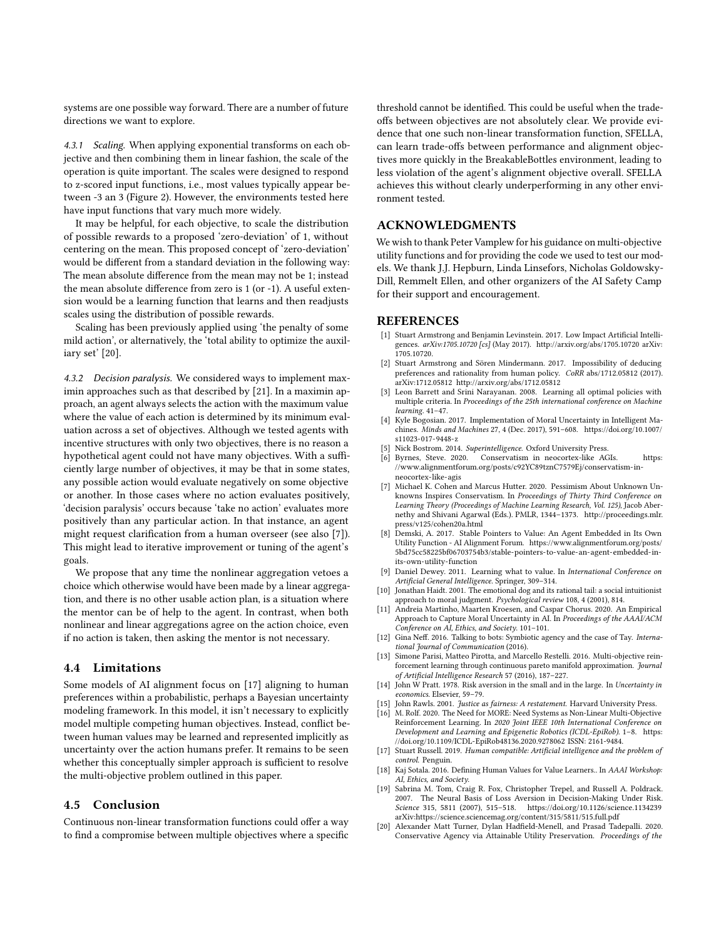systems are one possible way forward. There are a number of future directions we want to explore.

4.3.1 Scaling. When applying exponential transforms on each objective and then combining them in linear fashion, the scale of the operation is quite important. The scales were designed to respond to z-scored input functions, i.e., most values typically appear between -3 an 3 (Figure [2\)](#page-4-0). However, the environments tested here have input functions that vary much more widely.

It may be helpful, for each objective, to scale the distribution of possible rewards to a proposed 'zero-deviation' of 1, without centering on the mean. This proposed concept of 'zero-deviation' would be different from a standard deviation in the following way: The mean absolute difference from the mean may not be 1; instead the mean absolute difference from zero is 1 (or -1). A useful extension would be a learning function that learns and then readjusts scales using the distribution of possible rewards.

Scaling has been previously applied using 'the penalty of some mild action', or alternatively, the 'total ability to optimize the auxiliary set' [\[20\]](#page-7-11).

4.3.2 Decision paralysis. We considered ways to implement maximin approaches such as that described by [\[21\]](#page-8-1). In a maximin approach, an agent always selects the action with the maximum value where the value of each action is determined by its minimum evaluation across a set of objectives. Although we tested agents with incentive structures with only two objectives, there is no reason a hypothetical agent could not have many objectives. With a sufficiently large number of objectives, it may be that in some states, any possible action would evaluate negatively on some objective or another. In those cases where no action evaluates positively, 'decision paralysis' occurs because 'take no action' evaluates more positively than any particular action. In that instance, an agent might request clarification from a human overseer (see also [\[7\]](#page-7-12)). This might lead to iterative improvement or tuning of the agent's goals.

We propose that any time the nonlinear aggregation vetoes a choice which otherwise would have been made by a linear aggregation, and there is no other usable action plan, is a situation where the mentor can be of help to the agent. In contrast, when both nonlinear and linear aggregations agree on the action choice, even if no action is taken, then asking the mentor is not necessary.

#### 4.4 Limitations

Some models of AI alignment focus on [\[17\]](#page-7-1) aligning to human preferences within a probabilistic, perhaps a Bayesian uncertainty modeling framework. In this model, it isn't necessary to explicitly model multiple competing human objectives. Instead, conflict between human values may be learned and represented implicitly as uncertainty over the action humans prefer. It remains to be seen whether this conceptually simpler approach is sufficient to resolve the multi-objective problem outlined in this paper.

#### 4.5 Conclusion

Continuous non-linear transformation functions could offer a way to find a compromise between multiple objectives where a specific threshold cannot be identified. This could be useful when the tradeoffs between objectives are not absolutely clear. We provide evidence that one such non-linear transformation function, SFELLA, can learn trade-offs between performance and alignment objectives more quickly in the BreakableBottles environment, leading to less violation of the agent's alignment objective overall. SFELLA achieves this without clearly underperforming in any other environment tested.

# ACKNOWLEDGMENTS

We wish to thank Peter Vamplew for his guidance on multi-objective utility functions and for providing the code we used to test our models. We thank J.J. Hepburn, Linda Linsefors, Nicholas Goldowsky-Dill, Remmelt Ellen, and other organizers of the AI Safety Camp for their support and encouragement.

### REFERENCES

- <span id="page-7-10"></span>[1] Stuart Armstrong and Benjamin Levinstein. 2017. Low Impact Artificial Intelligences. arXiv:1705.10720 [cs] (May 2017).<http://arxiv.org/abs/1705.10720> arXiv: 1705.10720.
- <span id="page-7-15"></span>[2] Stuart Armstrong and Sören Mindermann. 2017. Impossibility of deducing preferences and rationality from human policy. CoRR abs/1712.05812 (2017). arXiv[:1712.05812](https://arxiv.org/abs/1712.05812)<http://arxiv.org/abs/1712.05812>
- <span id="page-7-8"></span>[3] Leon Barrett and Srini Narayanan. 2008. Learning all optimal policies with multiple criteria. In Proceedings of the 25th international conference on Machine learning. 41–47.
- <span id="page-7-2"></span>[4] Kyle Bogosian. 2017. Implementation of Moral Uncertainty in Intelligent Machines. Minds and Machines 27, 4 (Dec. 2017), 591–608. [https://doi.org/10.1007/](https://doi.org/10.1007/s11023-017-9448-z) [s11023-017-9448-z](https://doi.org/10.1007/s11023-017-9448-z)
- <span id="page-7-0"></span>Nick Bostrom. 2014. Superintelligence. Oxford University Press.
- <span id="page-7-13"></span>[6] Byrnes, Steve. 2020. Conservatism in neocortex-like AGIs. [https:](https://www.alignmentforum.org/posts/c92YC89tznC7579Ej/conservatism-in-neocortex-like-agis) [//www.alignmentforum.org/posts/c92YC89tznC7579Ej/conservatism-in](https://www.alignmentforum.org/posts/c92YC89tznC7579Ej/conservatism-in-neocortex-like-agis)[neocortex-like-agis](https://www.alignmentforum.org/posts/c92YC89tznC7579Ej/conservatism-in-neocortex-like-agis)
- <span id="page-7-12"></span>[7] Michael K. Cohen and Marcus Hutter. 2020. Pessimism About Unknown Unknowns Inspires Conservatism. In Proceedings of Thirty Third Conference on Learning Theory (Proceedings of Machine Learning Research, Vol. 125), Jacob Abernethy and Shivani Agarwal (Eds.). PMLR, 1344–1373. [http://proceedings.mlr.](http://proceedings.mlr.press/v125/cohen20a.html) [press/v125/cohen20a.html](http://proceedings.mlr.press/v125/cohen20a.html)
- <span id="page-7-18"></span>[8] Demski, A. 2017. Stable Pointers to Value: An Agent Embedded in Its Own Utility Function - AI Alignment Forum. [https://www.alignmentforum.org/posts/](https://www.alignmentforum.org/posts/5bd75cc58225bf06703754b3/stable-pointers-to-value-an-agent-embedded-in-its-own-utility-function) [5bd75cc58225bf06703754b3/stable-pointers-to-value-an-agent-embedded-in](https://www.alignmentforum.org/posts/5bd75cc58225bf06703754b3/stable-pointers-to-value-an-agent-embedded-in-its-own-utility-function)[its-own-utility-function](https://www.alignmentforum.org/posts/5bd75cc58225bf06703754b3/stable-pointers-to-value-an-agent-embedded-in-its-own-utility-function)
- <span id="page-7-19"></span>[9] Daniel Dewey. 2011. Learning what to value. In International Conference on Artificial General Intelligence. Springer, 309–314.
- <span id="page-7-3"></span>[10] Jonathan Haidt. 2001. The emotional dog and its rational tail: a social intuitionist approach to moral judgment. Psychological review 108, 4 (2001), 814.
- <span id="page-7-9"></span>[11] Andreia Martinho, Maarten Kroesen, and Caspar Chorus. 2020. An Empirical Approach to Capture Moral Uncertainty in AI. In Proceedings of the AAAI/ACM Conference on AI, Ethics, and Society. 101–101.
- <span id="page-7-14"></span>[12] Gina Neff. 2016. Talking to bots: Symbiotic agency and the case of Tay. International Journal of Communication (2016).
- <span id="page-7-7"></span>[13] Simone Parisi, Matteo Pirotta, and Marcello Restelli. 2016. Multi-objective reinforcement learning through continuous pareto manifold approximation. Journal of Artificial Intelligence Research 57 (2016), 187–227.
- <span id="page-7-17"></span>[14] John W Pratt. 1978. Risk aversion in the small and in the large. In Uncertainty in economics. Elsevier, 59–79.
- <span id="page-7-6"></span>[15] John Rawls. 2001. Justice as fairness: A restatement. Harvard University Press.
- <span id="page-7-5"></span>[16] M. Rolf. 2020. The Need for MORE: Need Systems as Non-Linear Multi-Objective Reinforcement Learning. In 2020 Joint IEEE 10th International Conference on Development and Learning and Epigenetic Robotics (ICDL-EpiRob). 1–8. [https:](https://doi.org/10.1109/ICDL-EpiRob48136.2020.9278062) [//doi.org/10.1109/ICDL-EpiRob48136.2020.9278062](https://doi.org/10.1109/ICDL-EpiRob48136.2020.9278062) ISSN: 2161-9484.
- <span id="page-7-1"></span>[17] Stuart Russell. 2019. Human compatible: Artificial intelligence and the problem of control. Penguin.
- <span id="page-7-4"></span>[18] Kaj Sotala. 2016. Defining Human Values for Value Learners.. In AAAI Workshop: AI, Ethics, and Society.
- <span id="page-7-16"></span>[19] Sabrina M. Tom, Craig R. Fox, Christopher Trepel, and Russell A. Poldrack. 2007. The Neural Basis of Loss Aversion in Decision-Making Under Risk. Science 315, 5811 (2007), 515–518.<https://doi.org/10.1126/science.1134239> arXiv[:https://science.sciencemag.org/content/315/5811/515.full.pdf](https://arxiv.org/abs/https://science.sciencemag.org/content/315/5811/515.full.pdf)
- <span id="page-7-11"></span>[20] Alexander Matt Turner, Dylan Hadfield-Menell, and Prasad Tadepalli. 2020. Conservative Agency via Attainable Utility Preservation. Proceedings of the